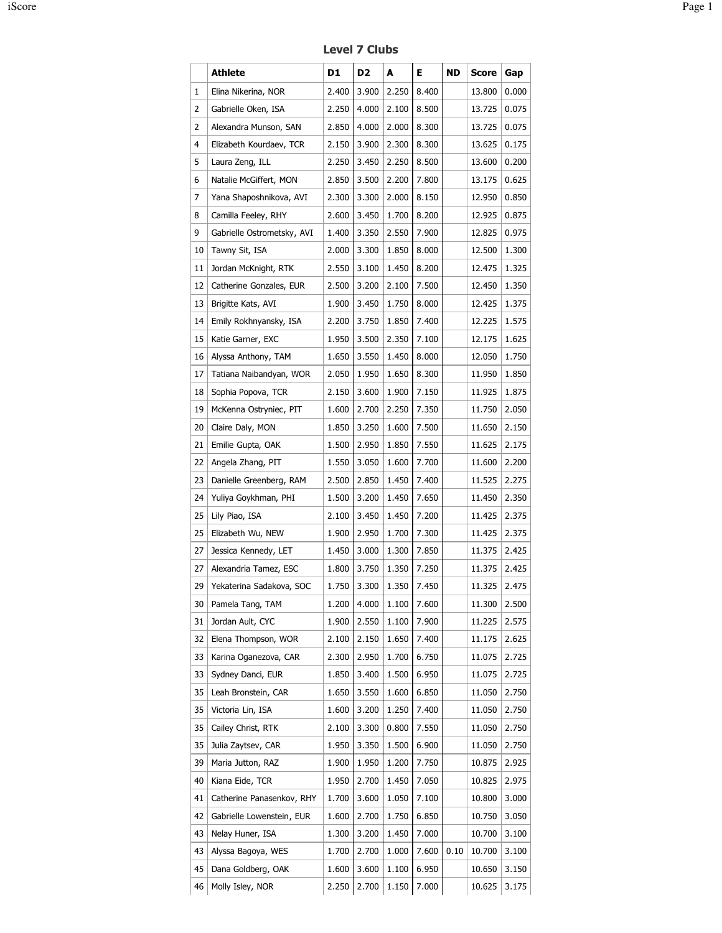Level 7 Clubs

|    | Athlete                    | D1    | D <sub>2</sub> | A     | Е     | ND   | <b>Score</b> | Gap   |
|----|----------------------------|-------|----------------|-------|-------|------|--------------|-------|
| 1  | Elina Nikerina, NOR        | 2.400 | 3.900          | 2.250 | 8.400 |      | 13.800       | 0.000 |
| 2  | Gabrielle Oken, ISA        | 2.250 | 4.000          | 2.100 | 8.500 |      | 13.725       | 0.075 |
| 2  | Alexandra Munson, SAN      | 2.850 | 4.000          | 2.000 | 8.300 |      | 13.725       | 0.075 |
| 4  | Elizabeth Kourdaev, TCR    | 2.150 | 3.900          | 2.300 | 8.300 |      | 13.625       | 0.175 |
| 5  | Laura Zeng, ILL            | 2.250 | 3.450          | 2.250 | 8.500 |      | 13.600       | 0.200 |
| 6  | Natalie McGiffert, MON     | 2.850 | 3.500          | 2.200 | 7.800 |      | 13.175       | 0.625 |
| 7  | Yana Shaposhnikova, AVI    | 2.300 | 3.300          | 2.000 | 8.150 |      | 12.950       | 0.850 |
| 8  | Camilla Feeley, RHY        | 2.600 | 3.450          | 1.700 | 8.200 |      | 12.925       | 0.875 |
| 9  | Gabrielle Ostrometsky, AVI | 1.400 | 3.350          | 2.550 | 7.900 |      | 12.825       | 0.975 |
| 10 | Tawny Sit, ISA             | 2.000 | 3.300          | 1.850 | 8.000 |      | 12.500       | 1.300 |
| 11 | Jordan McKnight, RTK       | 2.550 | 3.100          | 1.450 | 8.200 |      | 12.475       | 1.325 |
| 12 | Catherine Gonzales, EUR    | 2.500 | 3.200          | 2.100 | 7.500 |      | 12.450       | 1.350 |
| 13 | Brigitte Kats, AVI         | 1.900 | 3.450          | 1.750 | 8.000 |      | 12.425       | 1.375 |
| 14 | Emily Rokhnyansky, ISA     | 2.200 | 3.750          | 1.850 | 7.400 |      | 12.225       | 1.575 |
| 15 | Katie Garner, EXC          | 1.950 | 3.500          | 2.350 | 7.100 |      | 12.175       | 1.625 |
| 16 | Alyssa Anthony, TAM        | 1.650 | 3.550          | 1.450 | 8.000 |      | 12.050       | 1.750 |
| 17 | Tatiana Naibandyan, WOR    | 2.050 | 1.950          | 1.650 | 8.300 |      | 11.950       | 1.850 |
| 18 | Sophia Popova, TCR         | 2.150 | 3.600          | 1.900 | 7.150 |      | 11.925       | 1.875 |
| 19 | McKenna Ostryniec, PIT     | 1.600 | 2.700          | 2.250 | 7.350 |      | 11.750       | 2.050 |
| 20 | Claire Daly, MON           | 1.850 | 3.250          | 1.600 | 7.500 |      | 11.650       | 2.150 |
| 21 | Emilie Gupta, OAK          | 1.500 | 2.950          | 1.850 | 7.550 |      | 11.625       | 2.175 |
| 22 | Angela Zhang, PIT          | 1.550 | 3.050          | 1.600 | 7.700 |      | 11.600       | 2.200 |
| 23 | Danielle Greenberg, RAM    | 2.500 | 2.850          | 1.450 | 7.400 |      | 11.525       | 2.275 |
| 24 | Yuliya Goykhman, PHI       | 1.500 | 3.200          | 1.450 | 7.650 |      | 11.450       | 2.350 |
| 25 | Lily Piao, ISA             | 2.100 | 3.450          | 1.450 | 7.200 |      | 11.425       | 2.375 |
| 25 | Elizabeth Wu, NEW          | 1.900 | 2.950          | 1.700 | 7.300 |      | 11.425       | 2.375 |
| 27 | Jessica Kennedy, LET       | 1.450 | 3.000          | 1.300 | 7.850 |      | 11.375       | 2.425 |
| 27 | Alexandria Tamez, ESC      | 1.800 | 3.750          | 1.350 | 7.250 |      | 11.375       | 2.425 |
| 29 | Yekaterina Sadakova, SOC   | 1.750 | 3.300          | 1.350 | 7.450 |      | 11.325       | 2.475 |
| 30 | Pamela Tang, TAM           | 1.200 | 4.000          | 1.100 | 7.600 |      | 11.300       | 2.500 |
| 31 | Jordan Ault, CYC           | 1.900 | 2.550          | 1.100 | 7.900 |      | 11.225       | 2.575 |
| 32 | Elena Thompson, WOR        | 2.100 | 2.150          | 1.650 | 7.400 |      | 11.175       | 2.625 |
| 33 | Karina Oganezova, CAR      | 2.300 | 2.950          | 1.700 | 6.750 |      | 11.075       | 2.725 |
| 33 | Sydney Danci, EUR          | 1.850 | 3.400          | 1.500 | 6.950 |      | 11.075       | 2.725 |
| 35 | Leah Bronstein, CAR        | 1.650 | 3.550          | 1.600 | 6.850 |      | 11.050       | 2.750 |
| 35 | Victoria Lin, ISA          | 1.600 | 3.200          | 1.250 | 7.400 |      | 11.050       | 2.750 |
| 35 | Cailey Christ, RTK         | 2.100 | 3.300          | 0.800 | 7.550 |      | 11.050       | 2.750 |
| 35 | Julia Zaytsev, CAR         | 1.950 | 3.350          | 1.500 | 6.900 |      | 11.050       | 2.750 |
| 39 | Maria Jutton, RAZ          | 1.900 | 1.950          | 1.200 | 7.750 |      | 10.875       | 2.925 |
| 40 | Kiana Eide, TCR            | 1.950 | 2.700          | 1.450 | 7.050 |      | 10.825       | 2.975 |
| 41 | Catherine Panasenkov, RHY  | 1.700 | 3.600          | 1.050 | 7.100 |      | 10.800       | 3.000 |
| 42 | Gabrielle Lowenstein, EUR  | 1.600 | 2.700          | 1.750 | 6.850 |      | 10.750       | 3.050 |
| 43 | Nelay Huner, ISA           | 1.300 | 3.200          | 1.450 | 7.000 |      | 10.700       | 3.100 |
| 43 | Alyssa Bagoya, WES         | 1.700 | 2.700          | 1.000 | 7.600 | 0.10 | 10.700       | 3.100 |
| 45 | Dana Goldberg, OAK         | 1.600 | 3.600          | 1.100 | 6.950 |      | 10.650       | 3.150 |
| 46 | Molly Isley, NOR           | 2.250 | 2.700          | 1.150 | 7.000 |      | 10.625       | 3.175 |